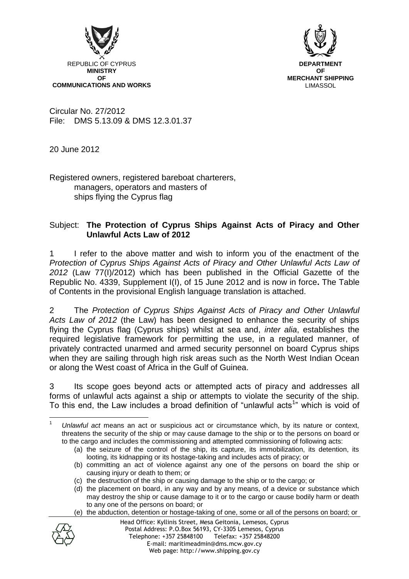



Circular No. 27/2012 File: DMS 5.13.09 & DMS 12.3.01.37

20 June 2012

Registered owners, registered bareboat charterers, managers, operators and masters of ships flying the Cyprus flag

# Subject: **The Protection of Cyprus Ships Against Acts of Piracy and Other Unlawful Acts Law of 2012**

1 I refer to the above matter and wish to inform you of the enactment of the *Protection of Cyprus Ships Against Acts of Piracy and Other Unlawful Acts Law of 2012* (Law 77(I)/2012) which has been published in the Official Gazette of the Republic No. 4339, Supplement I(I), of 15 June 2012 and is now in force**.** The Table of Contents in the provisional English language translation is attached.

2 The *Protection of Cyprus Ships Against Acts of Piracy and Other Unlawful Acts Law of 2012* (the Law) has been designed to enhance the security of ships flying the Cyprus flag (Cyprus ships) whilst at sea and, *inter alia*, establishes the required legislative framework for permitting the use, in a regulated manner, of privately contracted unarmed and armed security personnel on board Cyprus ships when they are sailing through high risk areas such as the North West Indian Ocean or along the West coast of Africa in the Gulf of Guinea.

3 Its scope goes beyond acts or attempted acts of piracy and addresses all forms of unlawful acts against a ship or attempts to violate the security of the ship. To this end, the Law includes a broad definition of "unlawful acts<sup>1</sup>" which is void of

<sup>(</sup>e) the abduction, detention or hostage-taking of one, some or all of the persons on board; or



<sup>1</sup> <sup>1</sup> *Unlawful act* means an act or suspicious act or circumstance which, by its nature or context, threatens the security of the ship or may cause damage to the ship or to the persons on board or to the cargo and includes the commissioning and attempted commissioning of following acts:

<sup>(</sup>a) the seizure of the control of the ship, its capture, its immobilization, its detention, its looting, its kidnapping or its hostage-taking and includes acts of piracy; or

<sup>(</sup>b) committing an act of violence against any one of the persons on board the ship or causing injury or death to them; or

<sup>(</sup>c) the destruction of the ship or causing damage to the ship or to the cargo; or

<sup>(</sup>d) the placement on board, in any way and by any means, of a device or substance which may destroy the ship or cause damage to it or to the cargo or cause bodily harm or death to any one of the persons on board; or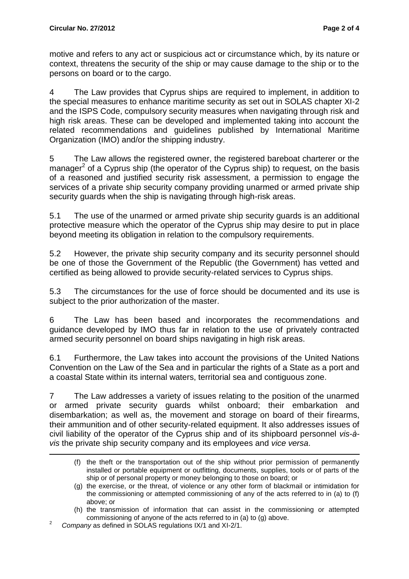motive and refers to any act or suspicious act or circumstance which, by its nature or context, threatens the security of the ship or may cause damage to the ship or to the persons on board or to the cargo.

4 The Law provides that Cyprus ships are required to implement, in addition to the special measures to enhance maritime security as set out in SOLAS chapter XI-2 and the ISPS Code, compulsory security measures when navigating through risk and high risk areas. These can be developed and implemented taking into account the related recommendations and guidelines published by International Maritime Organization (IMO) and/or the shipping industry.

5 The Law allows the registered owner, the registered bareboat charterer or the manager<sup>2</sup> of a Cyprus ship (the operator of the Cyprus ship) to request, on the basis of a reasoned and justified security risk assessment, a permission to engage the services of a private ship security company providing unarmed or armed private ship security guards when the ship is navigating through high-risk areas.

5.1 The use of the unarmed or armed private ship security guards is an additional protective measure which the operator of the Cyprus ship may desire to put in place beyond meeting its obligation in relation to the compulsory requirements.

5.2 However, the private ship security company and its security personnel should be one of those the Government of the Republic (the Government) has vetted and certified as being allowed to provide security-related services to Cyprus ships.

5.3 The circumstances for the use of force should be documented and its use is subject to the prior authorization of the master.

6 The Law has been based and incorporates the recommendations and guidance developed by IMO thus far in relation to the use of privately contracted armed security personnel on board ships navigating in high risk areas.

6.1 Furthermore, the Law takes into account the provisions of the United Nations Convention on the Law of the Sea and in particular the rights of a State as a port and a coastal State within its internal waters, territorial sea and contiguous zone.

7 The Law addresses a variety of issues relating to the position of the unarmed or armed private security guards whilst onboard; their embarkation and disembarkation; as well as, the movement and storage on board of their firearms, their ammunition and of other security-related equipment. It also addresses issues of civil liability of the operator of the Cyprus ship and of its shipboard personnel *vis-àvis* the private ship security company and its employees and *vice versa*.

<u>.</u>

<sup>(</sup>f) the theft or the transportation out of the ship without prior permission of permanently installed or portable equipment or outfitting, documents, supplies, tools or of parts of the ship or of personal property or money belonging to those on board; or

<sup>(</sup>g) the exercise, or the threat, of violence or any other form of blackmail or intimidation for the commissioning or attempted commissioning of any of the acts referred to in (a) to (f) above; or

<sup>(</sup>h) the transmission of information that can assist in the commissioning or attempted commissioning of anyone of the acts referred to in (a) to (g) above.

<sup>2</sup> *Company* as defined in SOLAS regulations IX/1 and XI-2/1.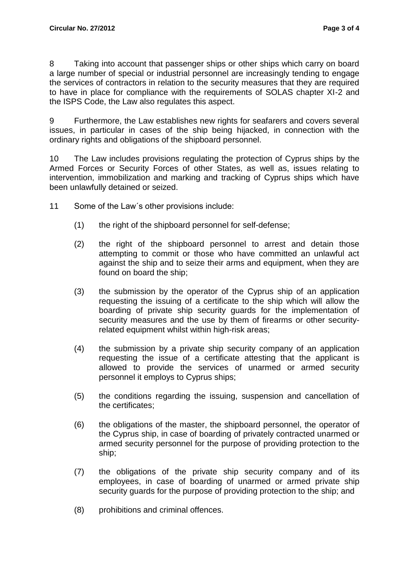8 Taking into account that passenger ships or other ships which carry on board a large number of special or industrial personnel are increasingly tending to engage the services of contractors in relation to the security measures that they are required to have in place for compliance with the requirements of SOLAS chapter XI-2 and the ISPS Code, the Law also regulates this aspect.

9 Furthermore, the Law establishes new rights for seafarers and covers several issues, in particular in cases of the ship being hijacked, in connection with the ordinary rights and obligations of the shipboard personnel.

10 The Law includes provisions regulating the protection of Cyprus ships by the Armed Forces or Security Forces of other States, as well as, issues relating to intervention, immobilization and marking and tracking of Cyprus ships which have been unlawfully detained or seized.

- 11 Some of the Law´s other provisions include:
	- (1) the right of the shipboard personnel for self-defense;
	- (2) the right of the shipboard personnel to arrest and detain those attempting to commit or those who have committed an unlawful act against the ship and to seize their arms and equipment, when they are found on board the ship;
	- (3) the submission by the operator of the Cyprus ship of an application requesting the issuing of a certificate to the ship which will allow the boarding of private ship security guards for the implementation of security measures and the use by them of firearms or other securityrelated equipment whilst within high-risk areas;
	- (4) the submission by a private ship security company of an application requesting the issue of a certificate attesting that the applicant is allowed to provide the services of unarmed or armed security personnel it employs to Cyprus ships;
	- (5) the conditions regarding the issuing, suspension and cancellation of the certificates;
	- (6) the obligations of the master, the shipboard personnel, the operator of the Cyprus ship, in case of boarding of privately contracted unarmed or armed security personnel for the purpose of providing protection to the ship;
	- (7) the obligations of the private ship security company and of its employees, in case of boarding of unarmed or armed private ship security guards for the purpose of providing protection to the ship; and
	- (8) prohibitions and criminal offences.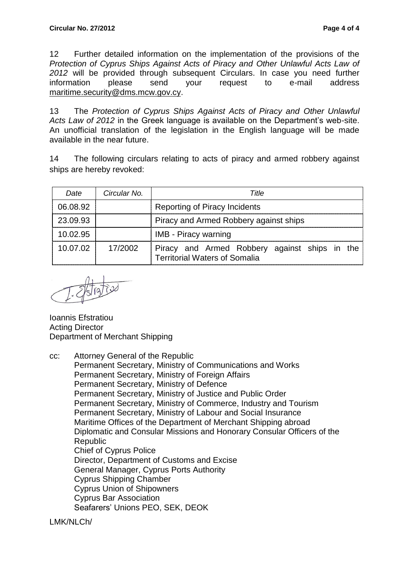12 Further detailed information on the implementation of the provisions of the *Protection of Cyprus Ships Against Acts of Piracy and Other Unlawful Acts Law of 2012* will be provided through subsequent Circulars. In case you need further information please send your request to e-mail address [maritime.security@dms.mcw.gov.cy.](mailto:maritime.security@dms.mcw.gov.cy)

13 The *Protection of Cyprus Ships Against Acts of Piracy and Other Unlawful Acts Law of 2012* in the Greek language is available on the Department's web-site. An unofficial translation of the legislation in the English language will be made available in the near future.

14 The following circulars relating to acts of piracy and armed robbery against ships are hereby revoked:

| Date     | Circular No | Title                                                                                 |
|----------|-------------|---------------------------------------------------------------------------------------|
| 06.08.92 |             | Reporting of Piracy Incidents                                                         |
| 23.09.93 |             | Piracy and Armed Robbery against ships                                                |
| 10.02.95 |             | <b>IMB</b> - Piracy warning                                                           |
| 10.07.02 | 17/2002     | Piracy and Armed Robbery against ships in the<br><b>Territorial Waters of Somalia</b> |

Ioannis Efstratiou Acting Director Department of Merchant Shipping

cc: Attorney General of the Republic Permanent Secretary, Ministry of Communications and Works Permanent Secretary, Ministry of Foreign Affairs Permanent Secretary, Ministry of Defence Permanent Secretary, Ministry of Justice and Public Order Permanent Secretary, Ministry of Commerce, Industry and Tourism Permanent Secretary, Ministry of Labour and Social Insurance Maritime Offices of the Department of Merchant Shipping abroad Diplomatic and Consular Missions and Honorary Consular Officers of the Republic Chief of Cyprus Police Director, Department of Customs and Excise General Manager, Cyprus Ports Authority Cyprus Shipping Chamber Cyprus Union of Shipowners Cyprus Bar Association Seafarers' Unions PEO, SEK, DEOK

LMK/NLCh/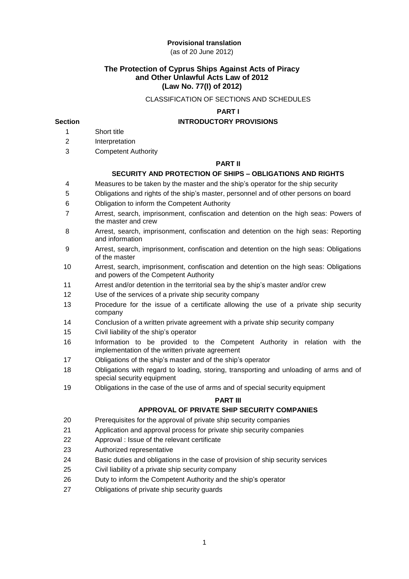# **Provisional translation**

(as of 20 June 2012)

# **The Protection of Cyprus Ships Against Acts of Piracy and Other Unlawful Acts Law of 2012 (Law No. 77(I) of 2012)**

### CLASSIFICATION OF SECTIONS AND SCHEDULES

# **PART I**

# **Section INTRODUCTORY PROVISIONS**

- 1 Short title
- 2 Interpretation
- 3 Competent Authority

#### **PART II**

# **SECURITY AND PROTECTION OF SHIPS – OBLIGATIONS AND RIGHTS**

- 4 Measures to be taken by the master and the ship's operator for the ship security
- 5 Obligations and rights of the ship's master, personnel and of other persons on board
- 6 Obligation to inform the Competent Authority
- 7 Arrest, search, imprisonment, confiscation and detention on the high seas: Powers of the master and crew
- 8 Arrest, search, imprisonment, confiscation and detention on the high seas: Reporting and information
- 9 Arrest, search, imprisonment, confiscation and detention on the high seas: Obligations of the master
- 10 Arrest, search, imprisonment, confiscation and detention on the high seas: Obligations and powers of the Competent Authority
- 11 Arrest and/or detention in the territorial sea by the ship's master and/or crew
- 12 Use of the services of a private ship security company
- 13 Procedure for the issue of a certificate allowing the use of a private ship security company
- 14 Conclusion of a written private agreement with a private ship security company
- 15 Civil liability of the ship's operator
- 16 Information to be provided to the Competent Authority in relation with the implementation of the written private agreement
- 17 Obligations of the ship's master and of the ship's operator
- 18 Obligations with regard to loading, storing, transporting and unloading of arms and of special security equipment
- 19 Obligations in the case of the use of arms and of special security equipment

### **PART III**

# **APPROVAL OF PRIVATE SHIP SECURITY COMPANIES**

- 20 Prerequisites for the approval of private ship security companies
- 21 Application and approval process for private ship security companies
- 22 Approval : Issue of the relevant certificate
- 23 Authorized representative
- 24 Basic duties and obligations in the case of provision of ship security services
- 25 Civil liability of a private ship security company
- 26 Duty to inform the Competent Authority and the ship's operator
- 27 Obligations of private ship security guards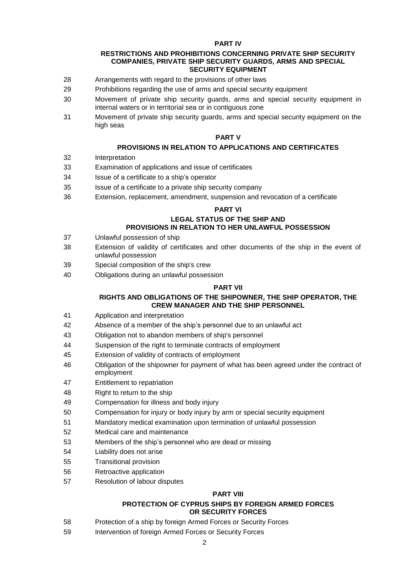#### **PART IV**

#### **RESTRICTIONS AND PROHIBITIONS CONCERNING PRIVATE SHIP SECURITY COMPANIES, PRIVATE SHIP SECURITY GUARDS, ARMS AND SPECIAL SECURITY EQUIPMENT**

- Arrangements with regard to the provisions of other laws
- Prohibitions regarding the use of arms and special security equipment
- Movement of private ship security guards, arms and special security equipment in internal waters or in territorial sea or in contiguous zone
- Movement of private ship security guards, arms and special security equipment on the high seas

### **PART V**

# **PROVISIONS IN RELATION TO APPLICATIONS AND CERTIFICATES**

- Interpretation
- Examination of applications and issue of certificates
- Issue of a certificate to a ship's operator
- Issue of a certificate to a private ship security company
- Extension, replacement, amendment, suspension and revocation of a certificate

### **PART VI**

#### **LEGAL STATUS OF THE SHIP AND PROVISIONS IN RELATION TO HER UNLAWFUL POSSESSION**

- Unlawful possession of ship
- Extension of validity of certificates and other documents of the ship in the event of unlawful possession
- Special composition of the ship's crew
- Obligations during an unlawful possession

### **PART VII**

#### **RIGHTS AND OBLIGATIONS OF THE SHIPOWNER, THE SHIP OPERATOR, THE CREW MANAGER AND THE SHIP PERSONNEL**

- Application and interpretation
- Absence of a member of the ship's personnel due to an unlawful act
- Obligation not to abandon members of ship's personnel
- Suspension of the right to terminate contracts of employment
- Extension of validity of contracts of employment
- Obligation of the shipowner for payment of what has been agreed under the contract of employment
- Entitlement to repatriation
- Right to return to the ship
- Compensation for illness and body injury
- Compensation for injury or body injury by arm or special security equipment
- Mandatory medical examination upon termination of unlawful possession
- Medical care and maintenance
- Members of the ship's personnel who are dead or missing
- Liability does not arise
- Transitional provision
- Retroactive application
- Resolution of labour disputes

### **PART VIII**

# **PROTECTION OF CYPRUS SHIPS BY FOREIGN ARMED FORCES OR SECURITY FORCES**

- Protection of a ship by foreign Armed Forces or Security Forces
- Intervention of foreign Armed Forces or Security Forces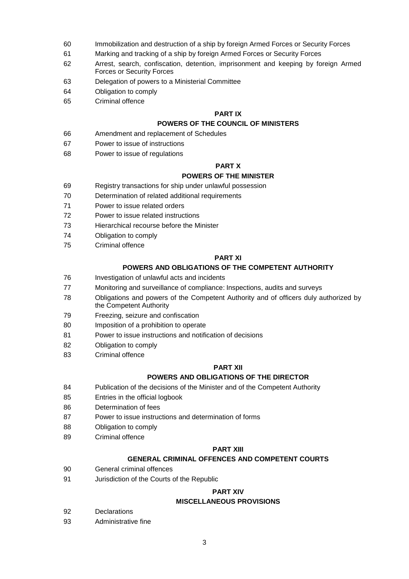- Immobilization and destruction of a ship by foreign Armed Forces or Security Forces
- Marking and tracking of a ship by foreign Armed Forces or Security Forces
- Arrest, search, confiscation, detention, imprisonment and keeping by foreign Armed Forces or Security Forces
- Delegation of powers to a Ministerial Committee
- Obligation to comply
- Criminal offence

#### **PART IX**

# **POWERS OF THE COUNCIL OF MINISTERS**

- Amendment and replacement of Schedules
- Power to issue of instructions
- Power to issue of regulations

### **PART X**

#### **POWERS OF THE MINISTER**

- Registry transactions for ship under unlawful possession
- Determination of related additional requirements
- Power to issue related orders
- Power to issue related instructions
- Hierarchical recourse before the Minister
- Obligation to comply
- Criminal offence

#### **PART XI**

# **POWERS AND OBLIGATIONS OF THE COMPETENT AUTHORITY**

- Investigation of unlawful acts and incidents
- Monitoring and surveillance of compliance: Inspections, audits and surveys
- Obligations and powers of the Competent Authority and of officers duly authorized by the Competent Authority
- Freezing, seizure and confiscation
- Imposition of a prohibition to operate
- Power to issue instructions and notification of decisions
- Obligation to comply
- Criminal offence

### **PART XII**

### **POWERS AND OBLIGATIONS OF THE DIRECTOR**

- Publication of the decisions of the Minister and of the Competent Authority
- Entries in the official logbook
- Determination of fees
- Power to issue instructions and determination of forms
- Obligation to comply
- Criminal offence

#### **PART XIII**

### **GENERAL CRIMINAL OFFENCES AND COMPETENT COURTS**

- General criminal offences
- Jurisdiction of the Courts of the Republic

### **PART XIV**

#### **MISCELLANEOUS PROVISIONS**

- Declarations
- Administrative fine